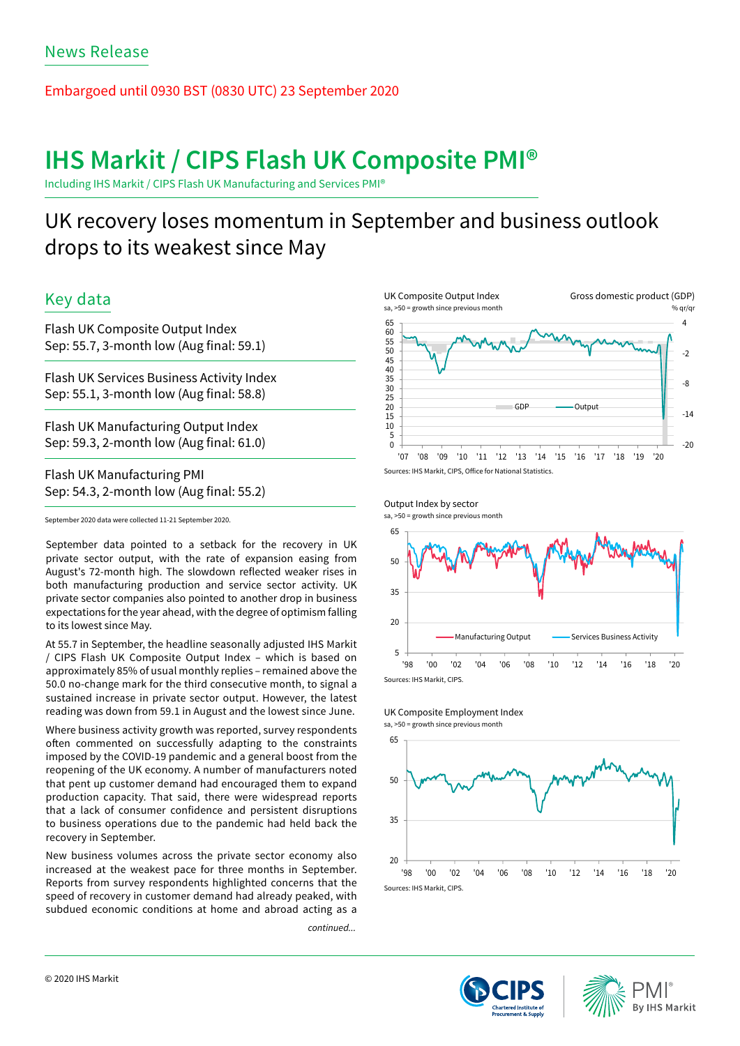Embargoed until 0930 BST (0830 UTC) 23 September 2020

# **IHS Markit / CIPS Flash UK Composite PMI®**

Including IHS Markit / CIPS Flash UK Manufacturing and Services PMI®

# UK recovery loses momentum in September and business outlook drops to its weakest since May

# Key data

Flash UK Composite Output Index Sep: 55.7, 3-month low (Aug final: 59.1)

Flash UK Services Business Activity Index Sep: 55.1, 3-month low (Aug final: 58.8)

Flash UK Manufacturing Output Index Sep: 59.3, 2-month low (Aug final: 61.0)

Flash UK Manufacturing PMI Sep: 54.3, 2-month low (Aug final: 55.2)

September 2020 data were collected 11-21 September 2020.

September data pointed to a setback for the recovery in UK private sector output, with the rate of expansion easing from August's 72-month high. The slowdown reflected weaker rises in both manufacturing production and service sector activity. UK private sector companies also pointed to another drop in business expectations for the year ahead, with the degree of optimism falling to its lowest since May.

At 55.7 in September, the headline seasonally adjusted IHS Markit / CIPS Flash UK Composite Output Index – which is based on approximately 85% of usual monthly replies – remained above the 50.0 no-change mark for the third consecutive month, to signal a sustained increase in private sector output. However, the latest reading was down from 59.1 in August and the lowest since June.

Where business activity growth was reported, survey respondents often commented on successfully adapting to the constraints imposed by the COVID-19 pandemic and a general boost from the reopening of the UK economy. A number of manufacturers noted that pent up customer demand had encouraged them to expand production capacity. That said, there were widespread reports that a lack of consumer confidence and persistent disruptions to business operations due to the pandemic had held back the recovery in September.

New business volumes across the private sector economy also increased at the weakest pace for three months in September. Reports from survey respondents highlighted concerns that the speed of recovery in customer demand had already peaked, with subdued economic conditions at home and abroad acting as a

*continued...*







sa, >50 = growth since previous month





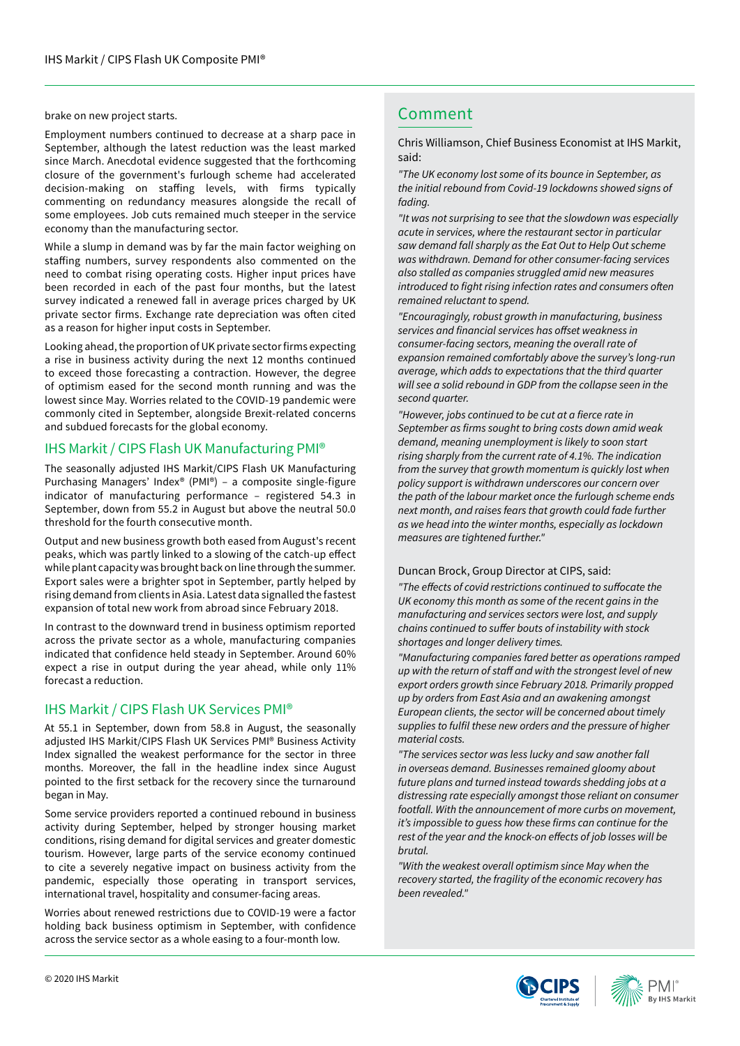brake on new project starts. The comment of the comment of the comment of the comment of the comment of the comment

Employment numbers continued to decrease at a sharp pace in September, although the latest reduction was the least marked since March. Anecdotal evidence suggested that the forthcoming closure of the government's furlough scheme had accelerated decision-making on staffing levels, with firms typically commenting on redundancy measures alongside the recall of some employees. Job cuts remained much steeper in the service economy than the manufacturing sector.

While a slump in demand was by far the main factor weighing on staffing numbers, survey respondents also commented on the need to combat rising operating costs. Higher input prices have been recorded in each of the past four months, but the latest survey indicated a renewed fall in average prices charged by UK private sector firms. Exchange rate depreciation was often cited as a reason for higher input costs in September.

Looking ahead, the proportion of UK private sector firms expecting a rise in business activity during the next 12 months continued to exceed those forecasting a contraction. However, the degree of optimism eased for the second month running and was the lowest since May. Worries related to the COVID-19 pandemic were commonly cited in September, alongside Brexit-related concerns and subdued forecasts for the global economy.

## IHS Markit / CIPS Flash UK Manufacturing PMI®

The seasonally adjusted IHS Markit/CIPS Flash UK Manufacturing Purchasing Managers' Index® (PMI®) – a composite single-figure indicator of manufacturing performance – registered 54.3 in September, down from 55.2 in August but above the neutral 50.0 threshold for the fourth consecutive month.

Output and new business growth both eased from August's recent peaks, which was partly linked to a slowing of the catch-up effect while plant capacity was brought back on line through the summer. Export sales were a brighter spot in September, partly helped by rising demand from clients in Asia. Latest data signalled the fastest expansion of total new work from abroad since February 2018.

In contrast to the downward trend in business optimism reported across the private sector as a whole, manufacturing companies indicated that confidence held steady in September. Around 60% expect a rise in output during the year ahead, while only 11% forecast a reduction.

## IHS Markit / CIPS Flash UK Services PMI®

At 55.1 in September, down from 58.8 in August, the seasonally adjusted IHS Markit/CIPS Flash UK Services PMI® Business Activity Index signalled the weakest performance for the sector in three months. Moreover, the fall in the headline index since August pointed to the first setback for the recovery since the turnaround began in May.

Some service providers reported a continued rebound in business activity during September, helped by stronger housing market conditions, rising demand for digital services and greater domestic tourism. However, large parts of the service economy continued to cite a severely negative impact on business activity from the pandemic, especially those operating in transport services, international travel, hospitality and consumer-facing areas.

Worries about renewed restrictions due to COVID-19 were a factor holding back business optimism in September, with confidence across the service sector as a whole easing to a four-month low.

Chris Williamson, Chief Business Economist at IHS Markit, said:

*"The UK economy lost some of its bounce in September, as the initial rebound from Covid-19 lockdowns showed signs of fading.* 

*"It was not surprising to see that the slowdown was especially acute in services, where the restaurant sector in particular saw demand fall sharply as the Eat Out to Help Out scheme was withdrawn. Demand for other consumer-facing services also stalled as companies struggled amid new measures*  introduced to fight rising infection rates and consumers often *remained reluctant to spend.*

*"Encouragingly, robust growth in manufacturing, business*  services and financial services has offset weakness in *consumer-facing sectors, meaning the overall rate of expansion remained comfortably above the survey's long-run average, which adds to expectations that the third quarter will see a solid rebound in GDP from the collapse seen in the second quarter.*

"However, jobs continued to be cut at a fierce rate in September as firms sought to bring costs down amid weak *demand, meaning unemployment is likely to soon start rising sharply from the current rate of 4.1%. The indication from the survey that growth momentum is quickly lost when policy support is withdrawn underscores our concern over the path of the labour market once the furlough scheme ends next month, and raises fears that growth could fade further as we head into the winter months, especially as lockdown measures are tightened further."*

### Duncan Brock, Group Director at CIPS, said:

"The effects of covid restrictions continued to suffocate the *UK economy this month as some of the recent gains in the manufacturing and services sectors were lost, and supply*  chains continued to suffer bouts of instability with stock *shortages and longer delivery times.*

*"Manufacturing companies fared better as operations ramped*  up with the return of staff and with the strongest level of new *export orders growth since February 2018. Primarily propped up by orders from East Asia and an awakening amongst European clients, the sector will be concerned about timely*  supplies to fulfil these new orders and the pressure of higher *material costs.*

*"The services sector was less lucky and saw another fall in overseas demand. Businesses remained gloomy about future plans and turned instead towards shedding jobs at a distressing rate especially amongst those reliant on consumer footfall. With the announcement of more curbs on movement,*  it's impossible to guess how these firms can continue for the rest of the year and the knock-on effects of job losses will be *brutal.*

*"With the weakest overall optimism since May when the recovery started, the fragility of the economic recovery has been revealed."*